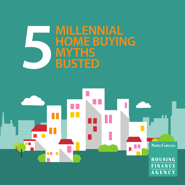# **MILLENNIAL HOME BUYING MILLENERS**<br>
MYTHS<br>
BUSTED

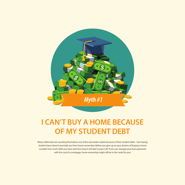#### **I CAN'T BUY A HOME BECAUSE OF MY STUDENT DEBT**

Many millennials are counting themselves out of the real estate market because of their student debt—but having student loans doesn't preclude you from home ownership. Before you give up on your dreams of buying a home consider how much debt you have and how long it will take to pay it off. If you can manage your loan payments with the cost of a mortgage, home ownership might still be in the cards for you!

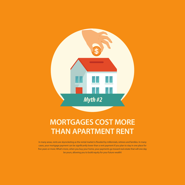#### **MORTGAGES COST MORE THAN APARTMENT RENT**

In many areas, rents are skyrocketing as the rental market is flooded by millennials, retirees and families. In many cases, your mortgage payment can be significantly lower than a rent payment if you plan to stay in one place for five years or more. What's more, when you buy your home, your payments go toward real estate that will one day be yours, allowing you to build equity for your future wealth!

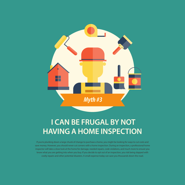## **I CAN BE FRUGAL BY NOT HAVING A HOME INSPECTION**

If you're plunking down a large chunk of change to purchase a home, you might be looking for ways to cut costs and save money. However, you should never cut corners with a home inspection. During an inspection, a professional home inspector will take a close look at the home for damage, needed repairs, code violations, and much more to ensure you know what you are getting into when you buy. If you decide to opt out of an inspection, you risk being slapped with costly repairs and other potential disasters. A small expense today can save you thousands down the road.

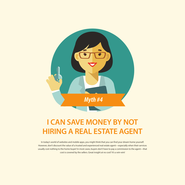#### **I CAN SAVE MONEY BY NOT HIRING A REAL ESTATE AGENT**

In today's world of websites and mobile apps, you might think that you can find your dream home yourself. However, don't discount the value of a trusted and experienced real estate agent—especially when their services usually cost nothing to the home buyer! In most cases, buyers don't have to pay a commission to the agent—that cost is covered by the sellers. Great insight at no cost? It's a win-win!

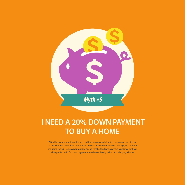#### **I NEED A 20% DOWN PAYMENT TO BUY A HOME**

With the economy getting stronger and the housing market going up, you may be able to secure a home loan with as little as 3.5% down—or less! There are even mortgages out there, including the NC Home Advantage Mortgage<sup>™</sup> that offer down payment assistance to those who qualify! Lack of a down payment should never hold you back from buying a home.